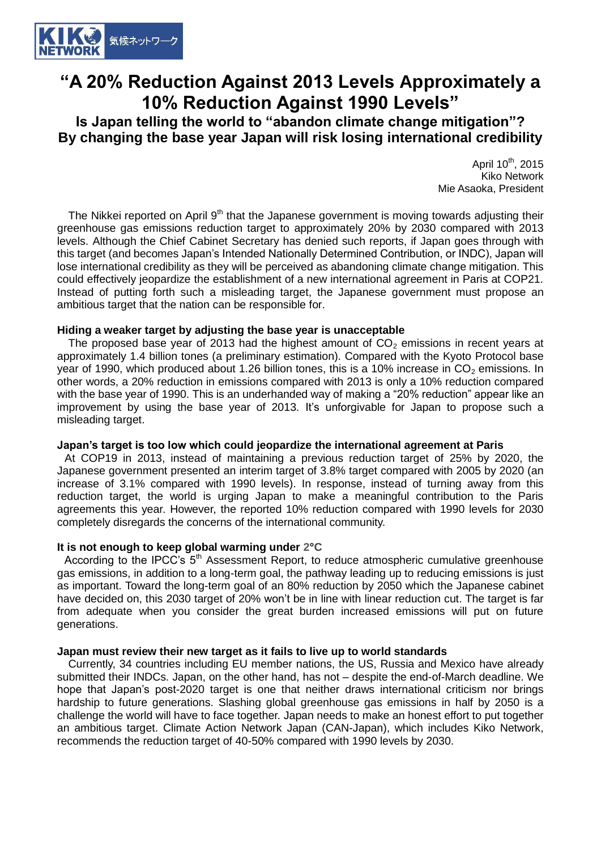

## **"A 20% Reduction Against 2013 Levels Approximately a 10% Reduction Against 1990 Levels"**

**Is Japan telling the world to "abandon climate change mitigation"? By changing the base year Japan will risk losing international credibility**

> April 10<sup>th</sup>, 2015 Kiko Network Mie Asaoka, President

The Nikkei reported on April  $9<sup>th</sup>$  that the Japanese government is moving towards adjusting their greenhouse gas emissions reduction target to approximately 20% by 2030 compared with 2013 levels. Although the Chief Cabinet Secretary has denied such reports, if Japan goes through with this target (and becomes Japan's Intended Nationally Determined Contribution, or INDC), Japan will lose international credibility as they will be perceived as abandoning climate change mitigation. This could effectively jeopardize the establishment of a new international agreement in Paris at COP21. Instead of putting forth such a misleading target, the Japanese government must propose an ambitious target that the nation can be responsible for.

#### **Hiding a weaker target by adjusting the base year is unacceptable**

The proposed base year of 2013 had the highest amount of  $CO<sub>2</sub>$  emissions in recent years at approximately 1.4 billion tones (a preliminary estimation). Compared with the Kyoto Protocol base year of 1990, which produced about 1.26 billion tones, this is a 10% increase in  $CO<sub>2</sub>$  emissions. In other words, a 20% reduction in emissions compared with 2013 is only a 10% reduction compared with the base year of 1990. This is an underhanded way of making a "20% reduction" appear like an improvement by using the base year of 2013. It's unforgivable for Japan to propose such a misleading target.

### **Japan's target is too low which could jeopardize the international agreement at Paris**

At COP19 in 2013, instead of maintaining a previous reduction target of 25% by 2020, the Japanese government presented an interim target of 3.8% target compared with 2005 by 2020 (an increase of 3.1% compared with 1990 levels). In response, instead of turning away from this reduction target, the world is urging Japan to make a meaningful contribution to the Paris agreements this year. However, the reported 10% reduction compared with 1990 levels for 2030 completely disregards the concerns of the international community.

### **It is not enough to keep global warming under 2°C**

According to the IPCC's  $5<sup>th</sup>$  Assessment Report, to reduce atmospheric cumulative greenhouse gas emissions, in addition to a long-term goal, the pathway leading up to reducing emissions is just as important. Toward the long-term goal of an 80% reduction by 2050 which the Japanese cabinet have decided on, this 2030 target of 20% won't be in line with linear reduction cut. The target is far from adequate when you consider the great burden increased emissions will put on future generations.

### **Japan must review their new target as it fails to live up to world standards**

Currently, 34 countries including EU member nations, the US, Russia and Mexico have already submitted their INDCs. Japan, on the other hand, has not – despite the end-of-March deadline. We hope that Japan's post-2020 target is one that neither draws international criticism nor brings hardship to future generations. Slashing global greenhouse gas emissions in half by 2050 is a challenge the world will have to face together. Japan needs to make an honest effort to put together an ambitious target. Climate Action Network Japan (CAN-Japan), which includes Kiko Network, recommends the reduction target of 40-50% compared with 1990 levels by 2030.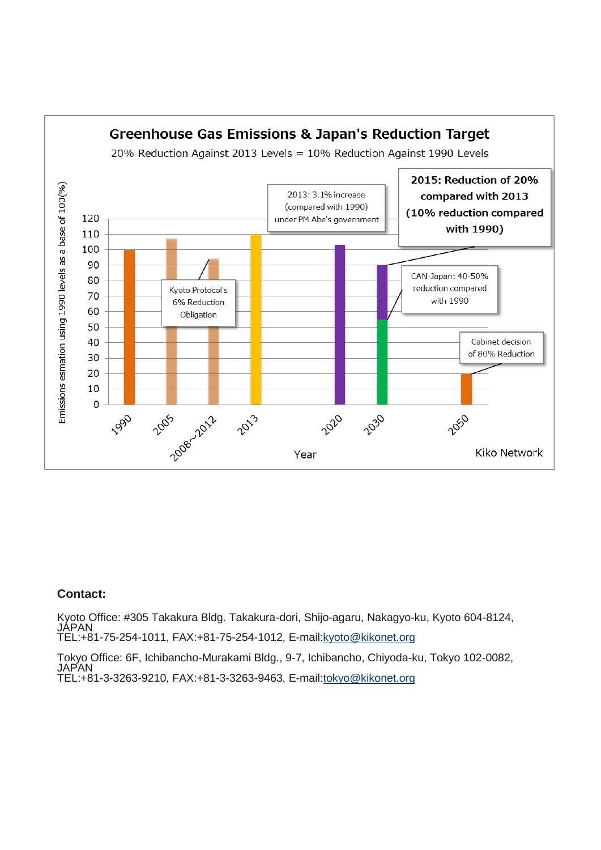

### **Contact:**

Kyoto Office: #305 Takakura Bldg. Takakura-dori, Shijo-agaru, Nakagyo-ku, Kyoto 604-8124, JAPAN TEL:+81-75-254-1011, FAX:+81-75-254-1012, E-mail[:kyoto@kikonet.org](mailto:kyoto@kikonet.org)

Tokyo Office: 6F, Ichibancho-Murakami Bldg., 9-7, Ichibancho, Chiyoda-ku, Tokyo 102-0082, **JAPAN** TEL:+81-3-3263-9210, FAX:+81-3-3263-9463, E-mail[:tokyo@kikonet.org](mailto:tokyo@kikonet.org)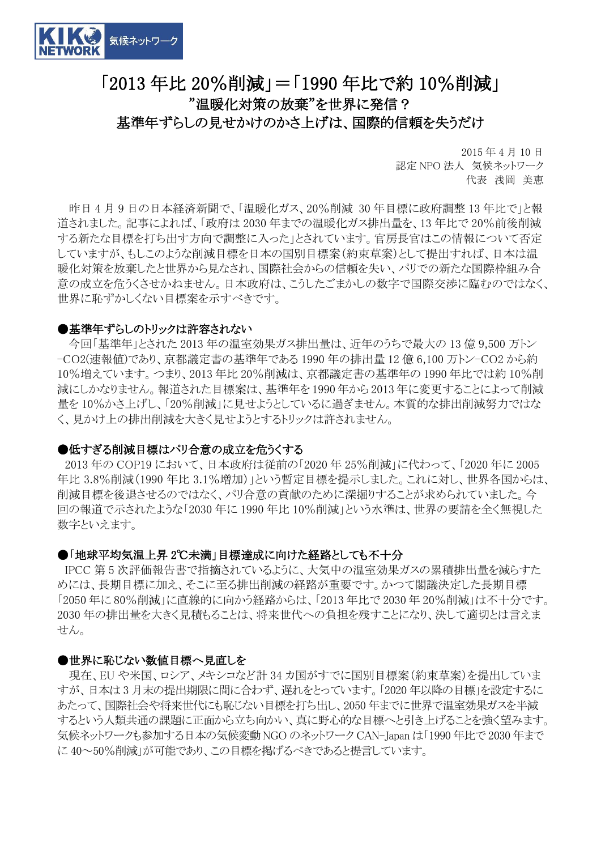

# 「2013 年比 20%削減」=「1990 年比で約 10%削減」 "温暖化対策の放棄"を世界に発信?

### 基準年ずらしの見せかけのかさ上げは、国際的信頼を失うだけ

2015 年 4 月 10 日 認定 NPO 法人 気候ネットワーク 代表 浅岡 美恵

昨日 4 月 9 日の日本経済新聞で、「温暖化ガス、20%削減 30 年目標に政府調整 13 年比で」と報 道されました。記事によれば、「政府は 2030 年までの温暖化ガス排出量を、13 年比で 20%前後削減 する新たな目標を打ち出す方向で調整に入った」とされています。官房長官はこの情報について否定 していますが、もしこのような削減目標を日本の国別目標案(約束草案)として提出すれば、日本は温 暖化対策を放棄したと世界から見なされ、国際社会からの信頼を失い、パリでの新たな国際枠組み合 意の成立を危うくさせかねません。日本政府は、こうしたごまかしの数字で国際交渉に臨むのではなく、 世界に恥ずかしくない目標案を示すべきです。

### ●基準年ずらしのトリックは許容されない

今回「基準年」とされた 2013 年の温室効果ガス排出量は、近年のうちで最大の 13 億 9,500 万トン -CO2(速報値)であり、京都議定書の基準年である 1990 年の排出量 12 億 6,100 万トン-CO2 から約 10%増えています。つまり、2013 年比 20%削減は、京都議定書の基準年の 1990 年比では約 10%削 減にしかなりません。報道された目標案は、基準年を 1990 年から 2013 年に変更することによって削減 量を 10%かさ上げし、「20%削減」に見せようとしているに過ぎません。本質的な排出削減努力ではな く、見かけ上の排出削減を大きく見せようとするトリックは許されません。

### ●低すぎる削減目標はパリ合意の成立を危うくする

2013 年の COP19 において、日本政府は従前の「2020 年 25%削減」に代わって、「2020 年に 2005 年比 3.8%削減(1990 年比 3.1%増加)」という暫定目標を提示しました。これに対し、世界各国からは、 削減目標を後退させるのではなく、パリ合意の貢献のために深掘りすることが求められていました。今 回の報道で示されたような「2030 年に 1990 年比 10%削減」という水準は、世界の要請を全く無視した 数字といえます。

### ●「地球平均気温上昇2℃未満」目標達成に向けた経路としても不十分

IPCC 第 5 次評価報告書で指摘されているように、大気中の温室効果ガスの累積排出量を減らすた めには、長期目標に加え、そこに至る排出削減の経路が重要です。かつて閣議決定した長期目標 「2050 年に 80%削減」に直線的に向かう経路からは、「2013 年比で 2030 年 20%削減」は不十分です。 2030 年の排出量を大きく見積もることは、将来世代への負担を残すことになり、決して適切とは言えま せん。

### ●世界に恥じない数値目標へ見直しを

現在、EU や米国、ロシア、メキシコなど計 34 カ国がすでに国別目標案(約束草案)を提出していま すが、日本は 3 月末の提出期限に間に合わず、遅れをとっています。「2020 年以降の目標」を設定するに あたって、国際社会や将来世代にも恥じない目標を打ち出し、2050 年までに世界で温室効果ガスを半減 するという人類共通の課題に正面から立ち向かい、真に野心的な目標へと引き上げることを強く望みます。 気候ネットワークも参加する日本の気候変動NGO のネットワーク CAN-Japan は「1990 年比で 2030 年まで に 40~50%削減」が可能であり、この目標を掲げるべきであると提言しています。